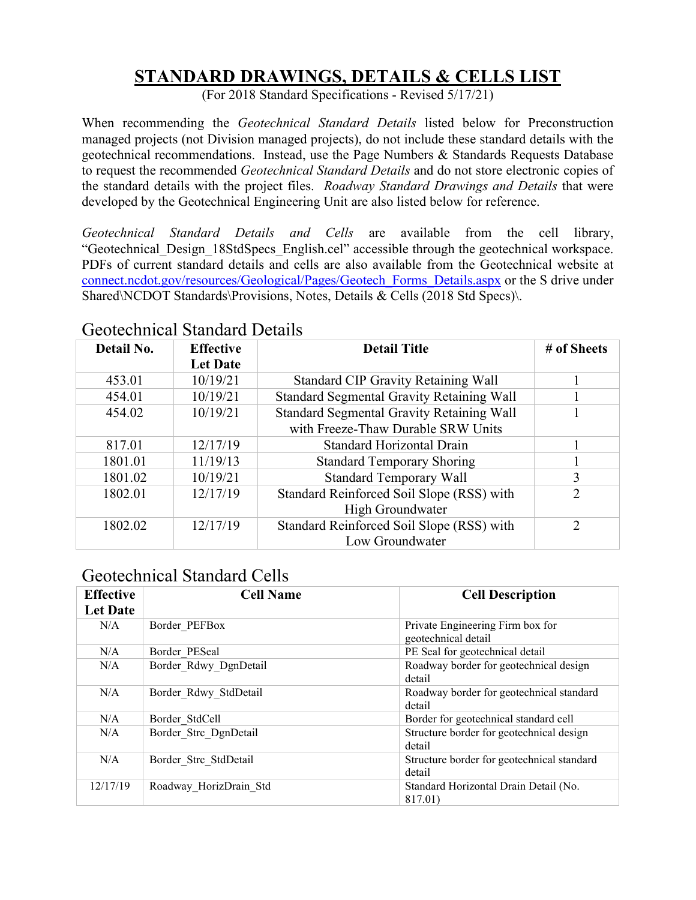### **STANDARD DRAWINGS, DETAILS & CELLS LIST**

(For 2018 Standard Specifications - Revised 5/17/21)

When recommending the *Geotechnical Standard Details* listed below for Preconstruction managed projects (not Division managed projects), do not include these standard details with the geotechnical recommendations. Instead, use the Page Numbers & Standards Requests Database to request the recommended *Geotechnical Standard Details* and do not store electronic copies of the standard details with the project files. *Roadway Standard Drawings and Details* that were developed by the Geotechnical Engineering Unit are also listed below for reference.

*Geotechnical Standard Details and Cells* are available from the cell library, "Geotechnical\_Design\_18StdSpecs\_English.cel" accessible through the geotechnical workspace. PDFs of current standard details and cells are also available from the Geotechnical website at [connect.ncdot.gov/resources/Geological/Pages/Geotech\\_Forms\\_Details.aspx](https://connect.ncdot.gov/resources/Geological/Pages/Geotech_Forms_Details.aspx) or the S drive under Shared\NCDOT Standards\Provisions, Notes, Details & Cells (2018 Std Specs)\.

| Detail No. | <b>Effective</b><br><b>Let Date</b> | <b>Detail Title</b>                              | # of Sheets                 |
|------------|-------------------------------------|--------------------------------------------------|-----------------------------|
| 453.01     | 10/19/21                            | <b>Standard CIP Gravity Retaining Wall</b>       |                             |
| 454.01     | 10/19/21                            | Standard Segmental Gravity Retaining Wall        |                             |
| 454.02     | 10/19/21                            | <b>Standard Segmental Gravity Retaining Wall</b> |                             |
|            |                                     | with Freeze-Thaw Durable SRW Units               |                             |
| 817.01     | 12/17/19                            | <b>Standard Horizontal Drain</b>                 |                             |
| 1801.01    | 11/19/13                            | <b>Standard Temporary Shoring</b>                |                             |
| 1801.02    | 10/19/21                            | <b>Standard Temporary Wall</b>                   | 3                           |
| 1802.01    | 12/17/19                            | Standard Reinforced Soil Slope (RSS) with        | $\mathcal{D}_{\mathcal{L}}$ |
|            |                                     | High Groundwater                                 |                             |
| 1802.02    | 12/17/19                            | Standard Reinforced Soil Slope (RSS) with        | $\mathcal{D}$               |
|            |                                     | Low Groundwater                                  |                             |

#### Geotechnical Standard Details

#### Geotechnical Standard Cells

| <b>Effective</b><br><b>Let Date</b> | <b>Cell Name</b>       | <b>Cell Description</b>                                 |
|-------------------------------------|------------------------|---------------------------------------------------------|
| N/A                                 | Border PEFBox          | Private Engineering Firm box for<br>geotechnical detail |
| N/A                                 | Border PESeal          | PE Seal for geotechnical detail                         |
| N/A                                 | Border Rdwy DgnDetail  | Roadway border for geotechnical design<br>detail        |
| N/A                                 | Border Rdwy StdDetail  | Roadway border for geotechnical standard<br>detail      |
| N/A                                 | Border StdCell         | Border for geotechnical standard cell                   |
| N/A                                 | Border Strc DgnDetail  | Structure border for geotechnical design<br>detail      |
| N/A                                 | Border Strc StdDetail  | Structure border for geotechnical standard<br>detail    |
| 12/17/19                            | Roadway HorizDrain Std | Standard Horizontal Drain Detail (No.<br>817.01)        |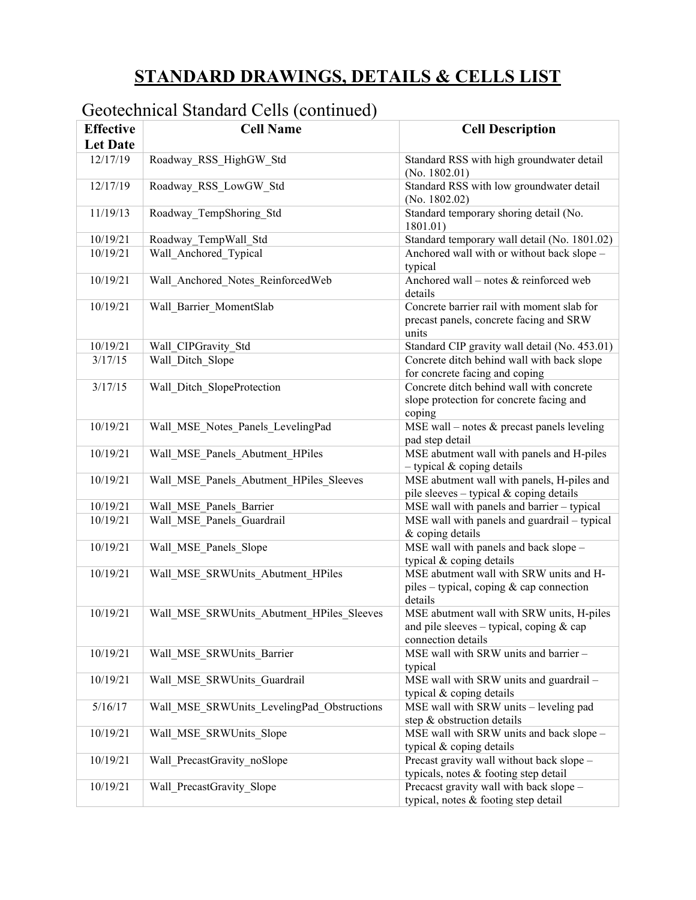# **STANDARD DRAWINGS, DETAILS & CELLS LIST**

### Geotechnical Standard Cells (continued)

| <b>Effective</b><br><b>Let Date</b> | <b>Cell Name</b>                           | <b>Cell Description</b>                                                                                     |
|-------------------------------------|--------------------------------------------|-------------------------------------------------------------------------------------------------------------|
| 12/17/19                            | Roadway RSS HighGW Std                     | Standard RSS with high groundwater detail<br>(No. $1802.01$ )                                               |
| 12/17/19                            | Roadway_RSS_LowGW_Std                      | Standard RSS with low groundwater detail<br>(No. $1802.02$ )                                                |
| 11/19/13                            | Roadway TempShoring Std                    | Standard temporary shoring detail (No.<br>1801.01)                                                          |
| 10/19/21                            | Roadway TempWall Std                       | Standard temporary wall detail (No. 1801.02)                                                                |
| 10/19/21                            | Wall Anchored Typical                      | Anchored wall with or without back slope -<br>typical                                                       |
| 10/19/21                            | Wall Anchored Notes ReinforcedWeb          | Anchored wall – notes $&$ reinforced web<br>details                                                         |
| 10/19/21                            | Wall Barrier MomentSlab                    | Concrete barrier rail with moment slab for<br>precast panels, concrete facing and SRW<br>units              |
| 10/19/21                            | Wall CIPGravity Std                        | Standard CIP gravity wall detail (No. 453.01)                                                               |
| 3/17/15                             | Wall Ditch Slope                           | Concrete ditch behind wall with back slope<br>for concrete facing and coping                                |
| 3/17/15                             | Wall Ditch SlopeProtection                 | Concrete ditch behind wall with concrete<br>slope protection for concrete facing and<br>coping              |
| 10/19/21                            | Wall MSE Notes Panels LevelingPad          | MSE wall – notes $&$ precast panels leveling<br>pad step detail                                             |
| 10/19/21                            | Wall_MSE_Panels_Abutment_HPiles            | MSE abutment wall with panels and H-piles<br>$-$ typical & coping details                                   |
| 10/19/21                            | Wall MSE Panels Abutment HPiles Sleeves    | MSE abutment wall with panels, H-piles and<br>pile sleeves - typical & coping details                       |
| 10/19/21                            | Wall MSE Panels Barrier                    | MSE wall with panels and barrier - typical                                                                  |
| 10/19/21                            | Wall MSE Panels Guardrail                  | MSE wall with panels and guardrail - typical<br>& coping details                                            |
| 10/19/21                            | Wall MSE Panels Slope                      | MSE wall with panels and back slope -<br>typical & coping details                                           |
| 10/19/21                            | Wall_MSE_SRWUnits_Abutment_HPiles          | MSE abutment wall with SRW units and H-<br>piles – typical, coping $\&$ cap connection<br>details           |
| 10/19/21                            | Wall MSE SRWUnits Abutment HPiles Sleeves  | MSE abutment wall with SRW units, H-piles<br>and pile sleeves - typical, coping & cap<br>connection details |
| 10/19/21                            | Wall MSE SRWUnits Barrier                  | MSE wall with SRW units and barrier -<br>typical                                                            |
| 10/19/21                            | Wall MSE SRWUnits Guardrail                | MSE wall with SRW units and guardrail -<br>typical & coping details                                         |
| 5/16/17                             | Wall MSE SRWUnits LevelingPad Obstructions | MSE wall with SRW units - leveling pad<br>step & obstruction details                                        |
| 10/19/21                            | Wall MSE SRWUnits Slope                    | MSE wall with SRW units and back slope -<br>typical & coping details                                        |
| 10/19/21                            | Wall PrecastGravity noSlope                | Precast gravity wall without back slope -<br>typicals, notes & footing step detail                          |
| 10/19/21                            | Wall PrecastGravity Slope                  | Precacst gravity wall with back slope -<br>typical, notes & footing step detail                             |